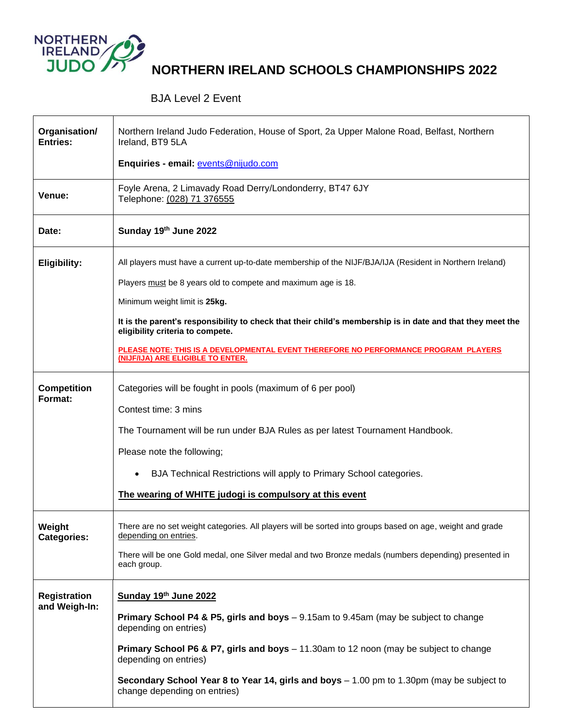

## **NORTHERN IRELAND SCHOOLS CHAMPIONSHIPS 2022**

## BJA Level 2 Event

| Organisation/<br>Entries:            | Northern Ireland Judo Federation, House of Sport, 2a Upper Malone Road, Belfast, Northern<br>Ireland, BT9 5LA                                  |
|--------------------------------------|------------------------------------------------------------------------------------------------------------------------------------------------|
|                                      | Enquiries - email: events@nijudo.com                                                                                                           |
| Venue:                               | Foyle Arena, 2 Limavady Road Derry/Londonderry, BT47 6JY<br>Telephone: (028) 71 376555                                                         |
| Date:                                | Sunday 19th June 2022                                                                                                                          |
| <b>Eligibility:</b>                  | All players must have a current up-to-date membership of the NIJF/BJA/IJA (Resident in Northern Ireland)                                       |
|                                      | Players must be 8 years old to compete and maximum age is 18.                                                                                  |
|                                      | Minimum weight limit is 25kg.                                                                                                                  |
|                                      | It is the parent's responsibility to check that their child's membership is in date and that they meet the<br>eligibility criteria to compete. |
|                                      | PLEASE NOTE: THIS IS A DEVELOPMENTAL EVENT THEREFORE NO PERFORMANCE PROGRAM PLAYERS<br>(NIJF/IJA) ARE ELIGIBLE TO ENTER.                       |
| <b>Competition</b><br>Format:        | Categories will be fought in pools (maximum of 6 per pool)                                                                                     |
|                                      | Contest time: 3 mins                                                                                                                           |
|                                      | The Tournament will be run under BJA Rules as per latest Tournament Handbook.                                                                  |
|                                      | Please note the following;                                                                                                                     |
|                                      | BJA Technical Restrictions will apply to Primary School categories.<br>$\bullet$                                                               |
|                                      | The wearing of WHITE judogi is compulsory at this event                                                                                        |
| Weight<br><b>Categories:</b>         | There are no set weight categories. All players will be sorted into groups based on age, weight and grade<br>depending on entries.             |
|                                      | There will be one Gold medal, one Silver medal and two Bronze medals (numbers depending) presented in<br>each group.                           |
| <b>Registration</b><br>and Weigh-In: | Sunday 19th June 2022                                                                                                                          |
|                                      | Primary School P4 & P5, girls and boys - 9.15am to 9.45am (may be subject to change<br>depending on entries)                                   |
|                                      | Primary School P6 & P7, girls and boys - 11.30am to 12 noon (may be subject to change<br>depending on entries)                                 |
|                                      | Secondary School Year 8 to Year 14, girls and boys $-1.00$ pm to 1.30pm (may be subject to<br>change depending on entries)                     |